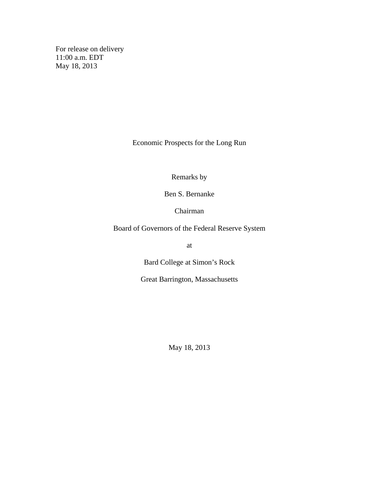For release on delivery 11:00 a.m. EDT May 18, 2013

Economic Prospects for the Long Run

Remarks by

Ben S. Bernanke

Chairman

Board of Governors of the Federal Reserve System

at

Bard College at Simon's Rock

Great Barrington, Massachusetts

May 18, 2013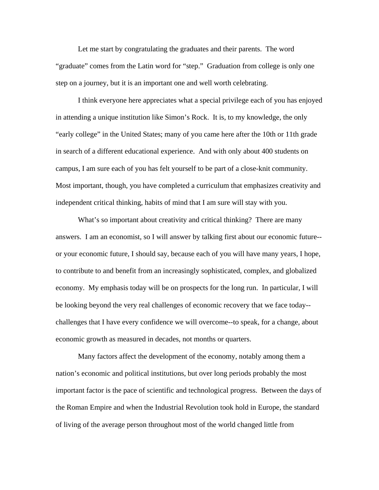Let me start by congratulating the graduates and their parents. The word "graduate" comes from the Latin word for "step." Graduation from college is only one step on a journey, but it is an important one and well worth celebrating.

I think everyone here appreciates what a special privilege each of you has enjoyed in attending a unique institution like Simon's Rock. It is, to my knowledge, the only "early college" in the United States; many of you came here after the 10th or 11th grade in search of a different educational experience. And with only about 400 students on campus, I am sure each of you has felt yourself to be part of a close-knit community. Most important, though, you have completed a curriculum that emphasizes creativity and independent critical thinking, habits of mind that I am sure will stay with you.

What's so important about creativity and critical thinking? There are many answers. I am an economist, so I will answer by talking first about our economic future- or your economic future, I should say, because each of you will have many years, I hope, to contribute to and benefit from an increasingly sophisticated, complex, and globalized economy. My emphasis today will be on prospects for the long run. In particular, I will be looking beyond the very real challenges of economic recovery that we face today- challenges that I have every confidence we will overcome--to speak, for a change, about economic growth as measured in decades, not months or quarters.

Many factors affect the development of the economy, notably among them a nation's economic and political institutions, but over long periods probably the most important factor is the pace of scientific and technological progress. Between the days of the Roman Empire and when the Industrial Revolution took hold in Europe, the standard of living of the average person throughout most of the world changed little from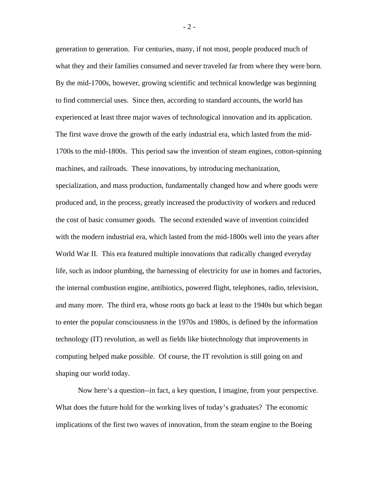generation to generation. For centuries, many, if not most, people produced much of what they and their families consumed and never traveled far from where they were born. By the mid-1700s, however, growing scientific and technical knowledge was beginning to find commercial uses. Since then, according to standard accounts, the world has experienced at least three major waves of technological innovation and its application. The first wave drove the growth of the early industrial era, which lasted from the mid-1700s to the mid-1800s. This period saw the invention of steam engines, cotton-spinning machines, and railroads. These innovations, by introducing mechanization, specialization, and mass production, fundamentally changed how and where goods were produced and, in the process, greatly increased the productivity of workers and reduced the cost of basic consumer goods. The second extended wave of invention coincided with the modern industrial era, which lasted from the mid-1800s well into the years after World War II. This era featured multiple innovations that radically changed everyday life, such as indoor plumbing, the harnessing of electricity for use in homes and factories, the internal combustion engine, antibiotics, powered flight, telephones, radio, television, and many more. The third era, whose roots go back at least to the 1940s but which began to enter the popular consciousness in the 1970s and 1980s, is defined by the information technology (IT) revolution, as well as fields like biotechnology that improvements in computing helped make possible. Of course, the IT revolution is still going on and shaping our world today.

Now here's a question--in fact, a key question, I imagine, from your perspective. What does the future hold for the working lives of today's graduates? The economic implications of the first two waves of innovation, from the steam engine to the Boeing

- 2 -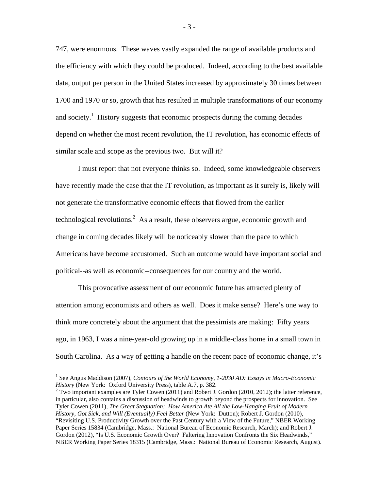747, were enormous. These waves vastly expanded the range of available products and the efficiency with which they could be produced. Indeed, according to the best available data, output per person in the United States increased by approximately 30 times between 1700 and 1970 or so, growth that has resulted in multiple transformations of our economy and society.<sup>1</sup> History suggests that economic prospects during the coming decades depend on whether the most recent revolution, the IT revolution, has economic effects of similar scale and scope as the previous two. But will it?

I must report that not everyone thinks so. Indeed, some knowledgeable observers have recently made the case that the IT revolution, as important as it surely is, likely will not generate the transformative economic effects that flowed from the earlier technological revolutions.<sup>2</sup> As a result, these observers argue, economic growth and change in coming decades likely will be noticeably slower than the pace to which Americans have become accustomed. Such an outcome would have important social and political--as well as economic--consequences for our country and the world.

This provocative assessment of our economic future has attracted plenty of attention among economists and others as well. Does it make sense? Here's one way to think more concretely about the argument that the pessimists are making: Fifty years ago, in 1963, I was a nine-year-old growing up in a middle-class home in a small town in South Carolina. As a way of getting a handle on the recent pace of economic change, it's

 $\overline{a}$ 

 $2$  Two important examples are Tyler Cowen (2011) and Robert J. Gordon (2010, 2012); the latter reference, in particular, also contains a discussion of headwinds to growth beyond the prospects for innovation. See Tyler Cowen (2011), *The Great Stagnation: How America Ate All the Low-Hanging Fruit of Modern History, Got Sick, and Will (Eventually) Feel Better* (New York: Dutton); Robert J. Gordon (2010), "Revisiting U.S. Productivity Growth over the Past Century with a View of the Future," NBER Working Paper Series 15834 (Cambridge, Mass.: National Bureau of Economic Research, March); and Robert J. Gordon (2012), "Is U.S. Economic Growth Over? Faltering Innovation Confronts the Six Headwinds," NBER Working Paper Series 18315 (Cambridge, Mass.: National Bureau of Economic Research, August).

- 3 -

<sup>&</sup>lt;sup>1</sup> See Angus Maddison (2007), *Contours of the World Economy, 1-2030 AD: Essays in Macro-Economic History* (New York: Oxford University Press), table A.7, p. 382.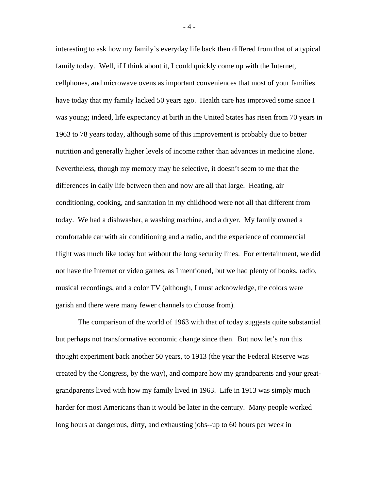interesting to ask how my family's everyday life back then differed from that of a typical family today. Well, if I think about it, I could quickly come up with the Internet, cellphones, and microwave ovens as important conveniences that most of your families have today that my family lacked 50 years ago. Health care has improved some since I was young; indeed, life expectancy at birth in the United States has risen from 70 years in 1963 to 78 years today, although some of this improvement is probably due to better nutrition and generally higher levels of income rather than advances in medicine alone. Nevertheless, though my memory may be selective, it doesn't seem to me that the differences in daily life between then and now are all that large. Heating, air conditioning, cooking, and sanitation in my childhood were not all that different from today. We had a dishwasher, a washing machine, and a dryer. My family owned a comfortable car with air conditioning and a radio, and the experience of commercial flight was much like today but without the long security lines. For entertainment, we did not have the Internet or video games, as I mentioned, but we had plenty of books, radio, musical recordings, and a color TV (although, I must acknowledge, the colors were garish and there were many fewer channels to choose from).

The comparison of the world of 1963 with that of today suggests quite substantial but perhaps not transformative economic change since then. But now let's run this thought experiment back another 50 years, to 1913 (the year the Federal Reserve was created by the Congress, by the way), and compare how my grandparents and your greatgrandparents lived with how my family lived in 1963. Life in 1913 was simply much harder for most Americans than it would be later in the century. Many people worked long hours at dangerous, dirty, and exhausting jobs--up to 60 hours per week in

- 4 -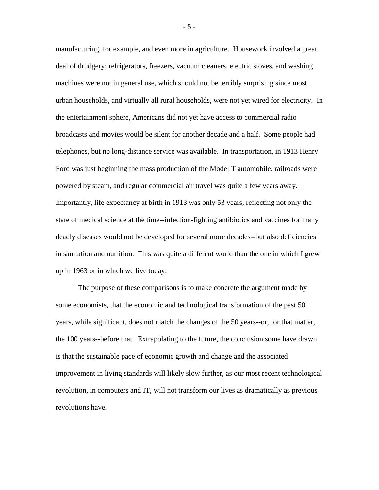manufacturing, for example, and even more in agriculture. Housework involved a great deal of drudgery; refrigerators, freezers, vacuum cleaners, electric stoves, and washing machines were not in general use, which should not be terribly surprising since most urban households, and virtually all rural households, were not yet wired for electricity. In the entertainment sphere, Americans did not yet have access to commercial radio broadcasts and movies would be silent for another decade and a half. Some people had telephones, but no long-distance service was available. In transportation, in 1913 Henry Ford was just beginning the mass production of the Model T automobile, railroads were powered by steam, and regular commercial air travel was quite a few years away. Importantly, life expectancy at birth in 1913 was only 53 years, reflecting not only the state of medical science at the time--infection-fighting antibiotics and vaccines for many deadly diseases would not be developed for several more decades--but also deficiencies in sanitation and nutrition. This was quite a different world than the one in which I grew up in 1963 or in which we live today.

The purpose of these comparisons is to make concrete the argument made by some economists, that the economic and technological transformation of the past 50 years, while significant, does not match the changes of the 50 years--or, for that matter, the 100 years--before that. Extrapolating to the future, the conclusion some have drawn is that the sustainable pace of economic growth and change and the associated improvement in living standards will likely slow further, as our most recent technological revolution, in computers and IT, will not transform our lives as dramatically as previous revolutions have.

- 5 -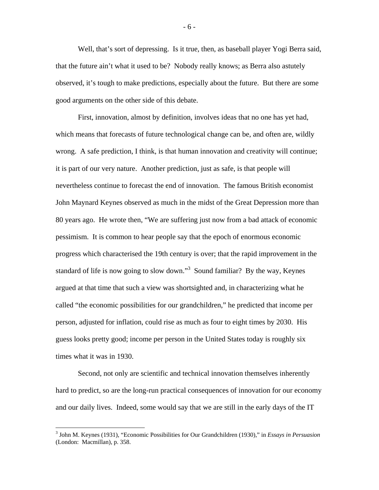Well, that's sort of depressing. Is it true, then, as baseball player Yogi Berra said, that the future ain't what it used to be? Nobody really knows; as Berra also astutely observed, it's tough to make predictions, especially about the future. But there are some good arguments on the other side of this debate.

First, innovation, almost by definition, involves ideas that no one has yet had, which means that forecasts of future technological change can be, and often are, wildly wrong. A safe prediction, I think, is that human innovation and creativity will continue; it is part of our very nature. Another prediction, just as safe, is that people will nevertheless continue to forecast the end of innovation. The famous British economist John Maynard Keynes observed as much in the midst of the Great Depression more than 80 years ago. He wrote then, "We are suffering just now from a bad attack of economic pessimism. It is common to hear people say that the epoch of enormous economic progress which characterised the 19th century is over; that the rapid improvement in the standard of life is now going to slow down."<sup>3</sup> Sound familiar? By the way, Keynes argued at that time that such a view was shortsighted and, in characterizing what he called "the economic possibilities for our grandchildren," he predicted that income per person, adjusted for inflation, could rise as much as four to eight times by 2030. His guess looks pretty good; income per person in the United States today is roughly six times what it was in 1930.

Second, not only are scientific and technical innovation themselves inherently hard to predict, so are the long-run practical consequences of innovation for our economy and our daily lives. Indeed, some would say that we are still in the early days of the IT

- 6 -

 3 John M. Keynes (1931), "Economic Possibilities for Our Grandchildren (1930)," in *Essays in Persuasion* (London: Macmillan), p. 358.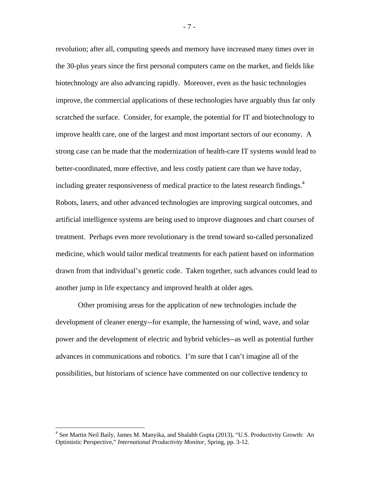revolution; after all, computing speeds and memory have increased many times over in the 30-plus years since the first personal computers came on the market, and fields like biotechnology are also advancing rapidly. Moreover, even as the basic technologies improve, the commercial applications of these technologies have arguably thus far only scratched the surface. Consider, for example, the potential for IT and biotechnology to improve health care, one of the largest and most important sectors of our economy. A strong case can be made that the modernization of health-care IT systems would lead to better-coordinated, more effective, and less costly patient care than we have today, including greater responsiveness of medical practice to the latest research findings.<sup>4</sup> Robots, lasers, and other advanced technologies are improving surgical outcomes, and artificial intelligence systems are being used to improve diagnoses and chart courses of treatment. Perhaps even more revolutionary is the trend toward so-called personalized medicine, which would tailor medical treatments for each patient based on information drawn from that individual's genetic code. Taken together, such advances could lead to another jump in life expectancy and improved health at older ages.

Other promising areas for the application of new technologies include the development of cleaner energy--for example, the harnessing of wind, wave, and solar power and the development of electric and hybrid vehicles--as well as potential further advances in communications and robotics. I'm sure that I can't imagine all of the possibilities, but historians of science have commented on our collective tendency to

1

- 7 -

<sup>&</sup>lt;sup>4</sup> See Martin Neil Baily, James M. Manyika, and Shalabh Gupta (2013), "U.S. Productivity Growth: An Optimistic Perspective," *International Productivity Monitor,* Spring, pp. 3-12.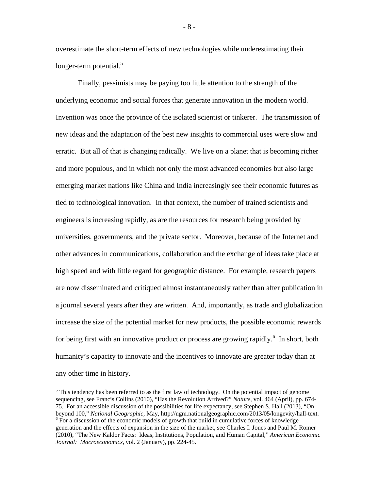overestimate the short-term effects of new technologies while underestimating their longer-term potential.<sup>5</sup>

Finally, pessimists may be paying too little attention to the strength of the underlying economic and social forces that generate innovation in the modern world. Invention was once the province of the isolated scientist or tinkerer. The transmission of new ideas and the adaptation of the best new insights to commercial uses were slow and erratic. But all of that is changing radically. We live on a planet that is becoming richer and more populous, and in which not only the most advanced economies but also large emerging market nations like China and India increasingly see their economic futures as tied to technological innovation. In that context, the number of trained scientists and engineers is increasing rapidly, as are the resources for research being provided by universities, governments, and the private sector. Moreover, because of the Internet and other advances in communications, collaboration and the exchange of ideas take place at high speed and with little regard for geographic distance. For example, research papers are now disseminated and critiqued almost instantaneously rather than after publication in a journal several years after they are written. And, importantly, as trade and globalization increase the size of the potential market for new products, the possible economic rewards for being first with an innovative product or process are growing rapidly.<sup>6</sup> In short, both humanity's capacity to innovate and the incentives to innovate are greater today than at any other time in history.

 $\overline{a}$ 

- 8 -

 $<sup>5</sup>$  This tendency has been referred to as the first law of technology. On the potential impact of genome</sup> sequencing, see Francis Collins (2010), "Has the Revolution Arrived?" *Nature*, vol. 464 (April), pp. 674- 75. For an accessible discussion of the possibilities for life expectancy, see Stephen S. Hall (2013), "On beyond 100," *National Geographic,* May, http://ngm.nationalgeographic.com/2013/05/longevity/hall-text. 6  $6$  For a discussion of the economic models of growth that build in cumulative forces of knowledge generation and the effects of expansion in the size of the market, see Charles I. Jones and Paul M. Romer (2010), "The New Kaldor Facts: Ideas, Institutions, Population, and Human Capital," *American Economic Journal: Macroeconomics*, vol. 2 (January), pp. 224-45.